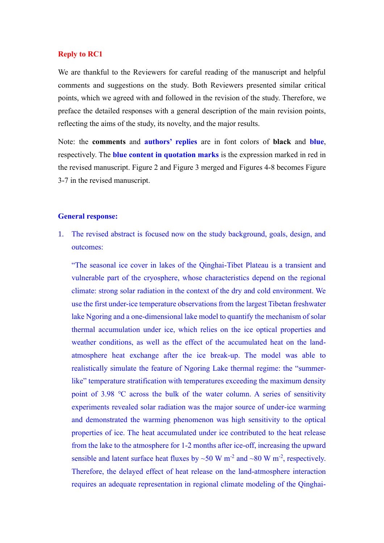# **Reply to RC1**

We are thankful to the Reviewers for careful reading of the manuscript and helpful comments and suggestions on the study. Both Reviewers presented similar critical points, which we agreed with and followed in the revision of the study. Therefore, we preface the detailed responses with a general description of the main revision points, reflecting the aims of the study, its novelty, and the major results.

Note: the **comments** and **authors' replies** are in font colors of **black** and **blue**, respectively. The **blue content in quotation marks** is the expression marked in red in the revised manuscript. Figure 2 and Figure 3 merged and Figures 4-8 becomes Figure 3-7 in the revised manuscript.

# **General response:**

1. The revised abstract is focused now on the study background, goals, design, and outcomes:

"The seasonal ice cover in lakes of the Qinghai-Tibet Plateau is a transient and vulnerable part of the cryosphere, whose characteristics depend on the regional climate: strong solar radiation in the context of the dry and cold environment. We use the first under-ice temperature observations from the largest Tibetan freshwater lake Ngoring and a one-dimensional lake model to quantify the mechanism of solar thermal accumulation under ice, which relies on the ice optical properties and weather conditions, as well as the effect of the accumulated heat on the landatmosphere heat exchange after the ice break-up. The model was able to realistically simulate the feature of Ngoring Lake thermal regime: the "summerlike" temperature stratification with temperatures exceeding the maximum density point of 3.98 ℃ across the bulk of the water column. A series of sensitivity experiments revealed solar radiation was the major source of under-ice warming and demonstrated the warming phenomenon was high sensitivity to the optical properties of ice. The heat accumulated under ice contributed to the heat release from the lake to the atmosphere for 1-2 months after ice-off, increasing the upward sensible and latent surface heat fluxes by  $\sim$  50 W m<sup>-2</sup> and  $\sim$  80 W m<sup>-2</sup>, respectively. Therefore, the delayed effect of heat release on the land-atmosphere interaction requires an adequate representation in regional climate modeling of the Qinghai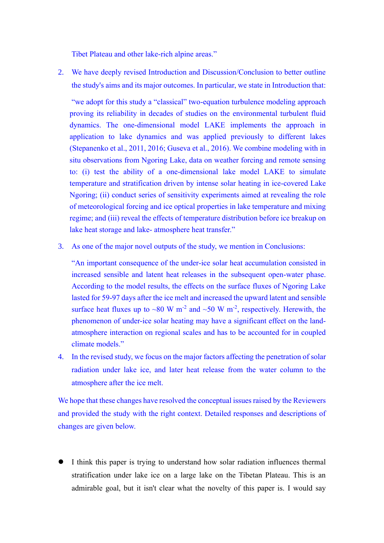Tibet Plateau and other lake-rich alpine areas."

2. We have deeply revised Introduction and Discussion/Conclusion to better outline the study's aims and its major outcomes. In particular, we state in Introduction that:

"we adopt for this study a "classical" two-equation turbulence modeling approach proving its reliability in decades of studies on the environmental turbulent fluid dynamics. The one-dimensional model LAKE implements the approach in application to lake dynamics and was applied previously to different lakes (Stepanenko et al., 2011, 2016; Guseva et al., 2016). We combine modeling with in situ observations from Ngoring Lake, data on weather forcing and remote sensing to: (i) test the ability of a one-dimensional lake model LAKE to simulate temperature and stratification driven by intense solar heating in ice-covered Lake Ngoring; (ii) conduct series of sensitivity experiments aimed at revealing the role of meteorological forcing and ice optical properties in lake temperature and mixing regime; and (iii) reveal the effects of temperature distribution before ice breakup on lake heat storage and lake- atmosphere heat transfer."

3. As one of the major novel outputs of the study, we mention in Conclusions:

"An important consequence of the under-ice solar heat accumulation consisted in increased sensible and latent heat releases in the subsequent open-water phase. According to the model results, the effects on the surface fluxes of Ngoring Lake lasted for 59-97 days after the ice melt and increased the upward latent and sensible surface heat fluxes up to ~80 W m<sup>-2</sup> and ~50 W m<sup>-2</sup>, respectively. Herewith, the phenomenon of under-ice solar heating may have a significant effect on the landatmosphere interaction on regional scales and has to be accounted for in coupled climate models."

4. In the revised study, we focus on the major factors affecting the penetration of solar radiation under lake ice, and later heat release from the water column to the atmosphere after the ice melt.

We hope that these changes have resolved the conceptual issues raised by the Reviewers and provided the study with the right context. Detailed responses and descriptions of changes are given below.

⚫ I think this paper is trying to understand how solar radiation influences thermal stratification under lake ice on a large lake on the Tibetan Plateau. This is an admirable goal, but it isn't clear what the novelty of this paper is. I would say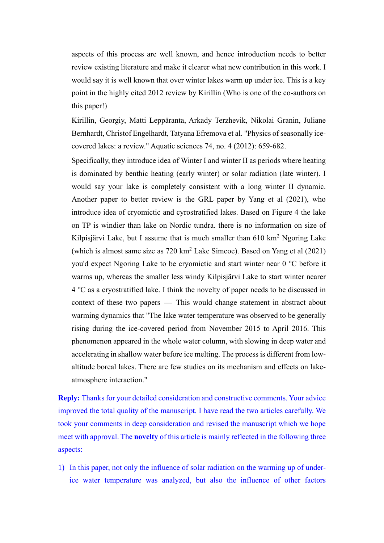aspects of this process are well known, and hence introduction needs to better review existing literature and make it clearer what new contribution in this work. I would say it is well known that over winter lakes warm up under ice. This is a key point in the highly cited 2012 review by Kirillin (Who is one of the co-authors on this paper!)

Kirillin, Georgiy, Matti Leppäranta, Arkady Terzhevik, Nikolai Granin, Juliane Bernhardt, Christof Engelhardt, Tatyana Efremova et al. "Physics of seasonally icecovered lakes: a review." Aquatic sciences 74, no. 4 (2012): 659-682.

Specifically, they introduce idea of Winter I and winter II as periods where heating is dominated by benthic heating (early winter) or solar radiation (late winter). I would say your lake is completely consistent with a long winter II dynamic. Another paper to better review is the GRL paper by Yang et al (2021), who introduce idea of cryomictic and cyrostratified lakes. Based on Figure 4 the lake on TP is windier than lake on Nordic tundra. there is no information on size of Kilpisjärvi Lake, but I assume that is much smaller than 610 km<sup>2</sup> Ngoring Lake (which is almost same size as  $720 \text{ km}^2$  Lake Simcoe). Based on Yang et al  $(2021)$ you'd expect Ngoring Lake to be cryomictic and start winter near 0 ℃ before it warms up, whereas the smaller less windy Kilpisjärvi Lake to start winter nearer 4 ℃ as a cryostratified lake. I think the novelty of paper needs to be discussed in context of these two papers — This would change statement in abstract about warming dynamics that "The lake water temperature was observed to be generally rising during the ice-covered period from November 2015 to April 2016. This phenomenon appeared in the whole water column, with slowing in deep water and accelerating in shallow water before ice melting. The process is different from lowaltitude boreal lakes. There are few studies on its mechanism and effects on lakeatmosphere interaction."

**Reply:** Thanks for your detailed consideration and constructive comments. Your advice improved the total quality of the manuscript. I have read the two articles carefully. We took your comments in deep consideration and revised the manuscript which we hope meet with approval. The **novelty** of this article is mainly reflected in the following three aspects:

1) In this paper, not only the influence of solar radiation on the warming up of underice water temperature was analyzed, but also the influence of other factors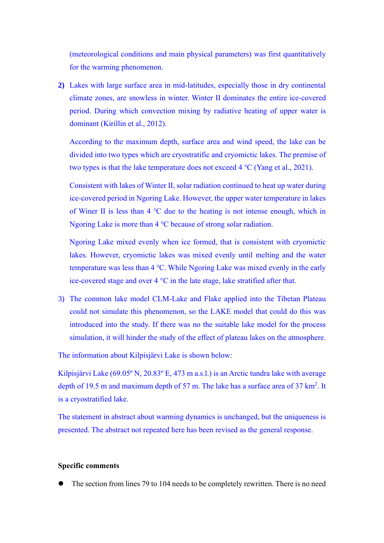(meteorological conditions and main physical parameters) was first quantitatively for the warming phenomenon.

**2)** Lakes with large surface area in mid-latitudes, especially those in dry continental climate zones, are snowless in winter. Winter II dominates the entire ice-covered period. During which convection mixing by radiative heating of upper water is dominant (Kirillin et al., 2012).

According to the maximum depth, surface area and wind speed, the lake can be divided into two types which are cryostratific and cryomictic lakes. The premise of two types is that the lake temperature does not exceed 4 ℃ (Yang et al., 2021).

Consistent with lakes of Winter Ⅱ, solar radiation continued to heat up water during ice-covered period in Ngoring Lake. However, the upper water temperature in lakes of Winer Ⅱ is less than 4 ℃ due to the heating is not intense enough, which in Ngoring Lake is more than 4 °C because of strong solar radiation.

Ngoring Lake mixed evenly when ice formed, that is consistent with cryomictic lakes. However, cryomictic lakes was mixed evenly until melting and the water temperature was less than 4 ℃. While Ngoring Lake was mixed evenly in the early ice-covered stage and over 4 °C in the late stage, lake stratified after that.

3) The common lake model CLM-Lake and Flake applied into the Tibetan Plateau could not simulate this phenomenon, so the LAKE model that could do this was introduced into the study. If there was no the suitable lake model for the process simulation, it will hinder the study of the effect of plateau lakes on the atmosphere.

The information about Kilpisjärvi Lake is shown below:

Kilpisjärvi Lake (69.05º N, 20.83º E, 473 m a.s.l.) is an Arctic tundra lake with average depth of 19.5 m and maximum depth of 57 m. The lake has a surface area of  $37 \text{ km}^2$ . It is a cryostratified lake.

The statement in abstract about warming dynamics is unchanged, but the uniqueness is presented. The abstract not repeated here has been revised as the general response.

# **Specific comments**

⚫ The section from lines 79 to 104 needs to be completely rewritten. There is no need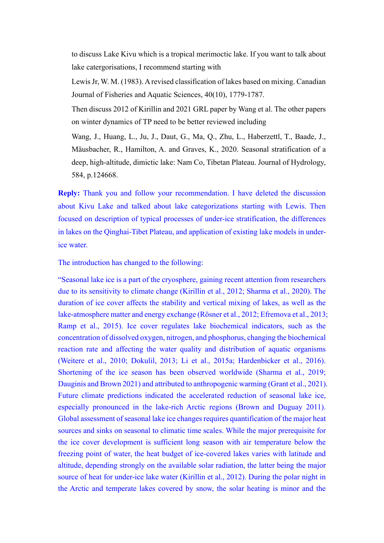to discuss Lake Kivu which is a tropical merimoctic lake. If you want to talk about lake catergorisations, I recommend starting with

Lewis Jr, W. M. (1983). A revised classification of lakes based on mixing. Canadian Journal of Fisheries and Aquatic Sciences, 40(10), 1779-1787.

Then discuss 2012 of Kirillin and 2021 GRL paper by Wang et al. The other papers on winter dynamics of TP need to be better reviewed including

Wang, J., Huang, L., Ju, J., Daut, G., Ma, Q., Zhu, L., Haberzettl, T., Baade, J., Mäusbacher, R., Hamilton, A. and Graves, K., 2020. Seasonal stratification of a deep, high-altitude, dimictic lake: Nam Co, Tibetan Plateau. Journal of Hydrology, 584, p.124668.

**Reply:** Thank you and follow your recommendation. I have deleted the discussion about Kivu Lake and talked about lake categorizations starting with Lewis. Then focused on description of typical processes of under-ice stratification, the differences in lakes on the Qinghai-Tibet Plateau, and application of existing lake models in underice water.

The introduction has changed to the following:

"Seasonal lake ice is a part of the cryosphere, gaining recent attention from researchers due to its sensitivity to climate change (Kirillin et al., 2012; Sharma et al., 2020). The duration of ice cover affects the stability and vertical mixing of lakes, as well as the lake-atmosphere matter and energy exchange (Rösner et al., 2012; Efremova et al., 2013; Ramp et al., 2015). Ice cover regulates lake biochemical indicators, such as the concentration of dissolved oxygen, nitrogen, and phosphorus, changing the biochemical reaction rate and affecting the water quality and distribution of aquatic organisms (Weitere et al., 2010; Dokulil, 2013; Li et al., 2015a; Hardenbicker et al., 2016). Shortening of the ice season has been observed worldwide (Sharma et al., 2019; Dauginis and Brown 2021) and attributed to anthropogenic warming (Grant et al., 2021). Future climate predictions indicated the accelerated reduction of seasonal lake ice, especially pronounced in the lake-rich Arctic regions (Brown and Duguay 2011). Global assessment of seasonal lake ice changes requires quantification of the major heat sources and sinks on seasonal to climatic time scales. While the major prerequisite for the ice cover development is sufficient long season with air temperature below the freezing point of water, the heat budget of ice-covered lakes varies with latitude and altitude, depending strongly on the available solar radiation, the latter being the major source of heat for under-ice lake water (Kirillin et al., 2012). During the polar night in the Arctic and temperate lakes covered by snow, the solar heating is minor and the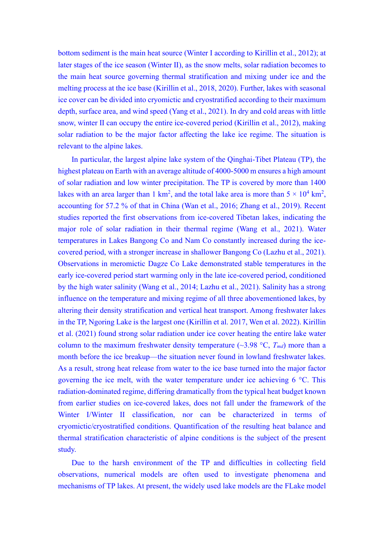bottom sediment is the main heat source (Winter I according to Kirillin et al., 2012); at later stages of the ice season (Winter Ⅱ), as the snow melts, solar radiation becomes to the main heat source governing thermal stratification and mixing under ice and the melting process at the ice base (Kirillin et al., 2018, 2020). Further, lakes with seasonal ice cover can be divided into cryomictic and cryostratified according to their maximum depth, surface area, and wind speed (Yang et al., 2021). In dry and cold areas with little snow, winter II can occupy the entire ice-covered period (Kirillin et al., 2012), making solar radiation to be the major factor affecting the lake ice regime. The situation is relevant to the alpine lakes.

In particular, the largest alpine lake system of the Qinghai-Tibet Plateau (TP), the highest plateau on Earth with an average altitude of 4000-5000 m ensures a high amount of solar radiation and low winter precipitation. The TP is covered by more than 1400 lakes with an area larger than 1 km<sup>2</sup>, and the total lake area is more than  $5 \times 10^4$  km<sup>2</sup>, accounting for 57.2 % of that in China (Wan et al., 2016; Zhang et al., 2019). Recent studies reported the first observations from ice-covered Tibetan lakes, indicating the major role of solar radiation in their thermal regime (Wang et al., 2021). Water temperatures in Lakes Bangong Co and Nam Co constantly increased during the icecovered period, with a stronger increase in shallower Bangong Co (Lazhu et al., 2021). Observations in meromictic Dagze Co Lake demonstrated stable temperatures in the early ice-covered period start warming only in the late ice-covered period, conditioned by the high water salinity (Wang et al., 2014; Lazhu et al., 2021). Salinity has a strong influence on the temperature and mixing regime of all three abovementioned lakes, by altering their density stratification and vertical heat transport. Among freshwater lakes in the TP, Ngoring Lake is the largest one (Kirillin et al. 2017, Wen et al. 2022). Kirillin et al. (2021) found strong solar radiation under ice cover heating the entire lake water column to the maximum freshwater density temperature  $(\sim 3.98 \text{ °C}, T_{md})$  more than a month before the ice breakup—the situation never found in lowland freshwater lakes. As a result, strong heat release from water to the ice base turned into the major factor governing the ice melt, with the water temperature under ice achieving 6 °C. This radiation-dominated regime, differing dramatically from the typical heat budget known from earlier studies on ice-covered lakes, does not fall under the framework of the Winter I/Winter II classification, nor can be characterized in terms of cryomictic/cryostratified conditions. Quantification of the resulting heat balance and thermal stratification characteristic of alpine conditions is the subject of the present study.

Due to the harsh environment of the TP and difficulties in collecting field observations, numerical models are often used to investigate phenomena and mechanisms of TP lakes. At present, the widely used lake models are the FLake model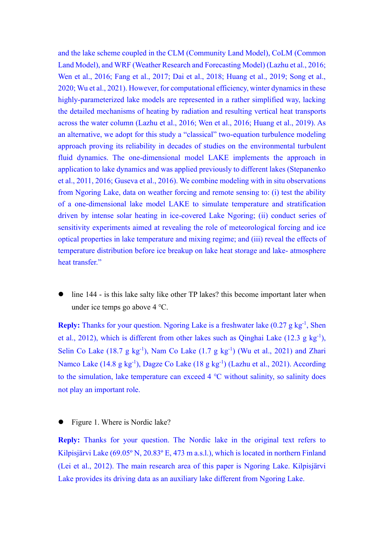and the lake scheme coupled in the CLM (Community Land Model), CoLM (Common Land Model), and WRF (Weather Research and Forecasting Model) (Lazhu et al., 2016; Wen et al., 2016; Fang et al., 2017; Dai et al., 2018; Huang et al., 2019; Song et al., 2020; Wu et al., 2021). However, for computational efficiency, winter dynamics in these highly-parameterized lake models are represented in a rather simplified way, lacking the detailed mechanisms of heating by radiation and resulting vertical heat transports across the water column (Lazhu et al., 2016; Wen et al., 2016; Huang et al., 2019). As an alternative, we adopt for this study a "classical" two-equation turbulence modeling approach proving its reliability in decades of studies on the environmental turbulent fluid dynamics. The one-dimensional model LAKE implements the approach in application to lake dynamics and was applied previously to different lakes (Stepanenko et al., 2011, 2016; Guseva et al., 2016). We combine modeling with in situ observations from Ngoring Lake, data on weather forcing and remote sensing to: (i) test the ability of a one-dimensional lake model LAKE to simulate temperature and stratification driven by intense solar heating in ice-covered Lake Ngoring; (ii) conduct series of sensitivity experiments aimed at revealing the role of meteorological forcing and ice optical properties in lake temperature and mixing regime; and (iii) reveal the effects of temperature distribution before ice breakup on lake heat storage and lake- atmosphere heat transfer."

line 144 - is this lake salty like other TP lakes? this become important later when under ice temps go above 4 ℃.

**Reply:** Thanks for your question. Ngoring Lake is a freshwater lake (0.27 g kg<sup>-1</sup>, Shen et al., 2012), which is different from other lakes such as Qinghai Lake  $(12.3 \text{ g kg}^{-1})$ , Selin Co Lake  $(18.7 \text{ g kg}^{-1})$ , Nam Co Lake  $(1.7 \text{ g kg}^{-1})$  (Wu et al., 2021) and Zhari Namco Lake (14.8 g kg<sup>-1</sup>), Dagze Co Lake (18 g kg<sup>-1</sup>) (Lazhu et al., 2021). According to the simulation, lake temperature can exceed 4 ℃ without salinity, so salinity does not play an important role.

⚫ Figure 1. Where is Nordic lake?

**Reply:** Thanks for your question. The Nordic lake in the original text refers to Kilpisjärvi Lake (69.05º N, 20.83º E, 473 m a.s.l.), which is located in northern Finland (Lei et al., 2012). The main research area of this paper is Ngoring Lake. Kilpisjärvi Lake provides its driving data as an auxiliary lake different from Ngoring Lake.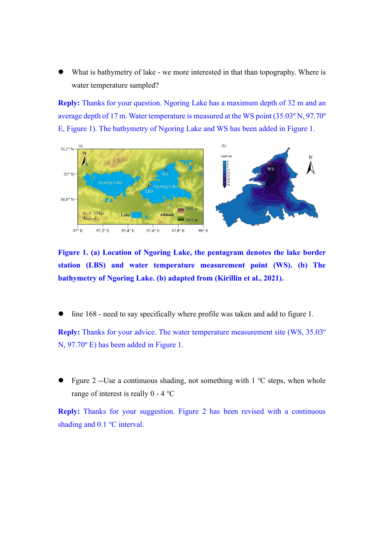What is bathymetry of lake - we more interested in that than topography. Where is water temperature sampled?

**Reply:** Thanks for your question. Ngoring Lake has a maximum depth of 32 m and an average depth of 17 m. Water temperature is measured at the WS point (35.03º N, 97.70º E, Figure 1). The bathymetry of Ngoring Lake and WS has been added in Figure 1.



**Figure 1. (a) Location of Ngoring Lake, the pentagram denotes the lake border station (LBS) and water temperature measurement point (WS). (b) The bathymetry of Ngoring Lake. (b) adapted from (Kirillin et al., 2021).**

⚫ line 168 - need to say specifically where profile was taken and add to figure 1.

**Reply:** Thanks for your advice. The water temperature measurement site (WS, 35.03º N, 97.70º E) has been added in Figure 1.

⚫ Fgure 2 --Use a continuous shading, not something with 1 ℃ steps, when whole range of interest is really 0 - 4 ℃

**Reply:** Thanks for your suggestion. Figure 2 has been revised with a continuous shading and 0.1 °C interval.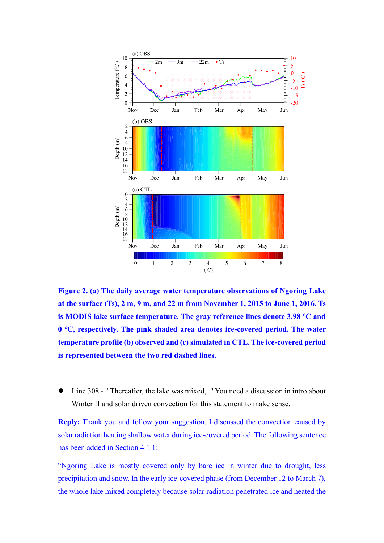

**Figure 2. (a) The daily average water temperature observations of Ngoring Lake at the surface (Ts), 2 m, 9 m, and 22 m from November 1, 2015 to June 1, 2016. Ts is MODIS lake surface temperature. The gray reference lines denote 3.98 ℃ and 0 ℃, respectively. The pink shaded area denotes ice-covered period. The water temperature profile (b) observed and (c) simulated in CTL. The ice-covered period is represented between the two red dashed lines.**

⚫ Line 308 - " Thereafter, the lake was mixed,.." You need a discussion in intro about Winter II and solar driven convection for this statement to make sense.

**Reply:** Thank you and follow your suggestion. I discussed the convection caused by solar radiation heating shallow water during ice-covered period. The following sentence has been added in Section 4.1.1:

"Ngoring Lake is mostly covered only by bare ice in winter due to drought, less precipitation and snow. In the early ice-covered phase (from December 12 to March 7), the whole lake mixed completely because solar radiation penetrated ice and heated the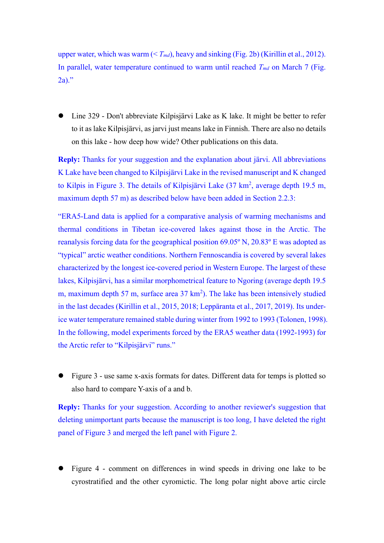upper water, which was warm (< *Tmd*), heavy and sinking (Fig. 2b) (Kirillin et al., 2012). In parallel, water temperature continued to warm until reached  $T_{md}$  on March 7 (Fig. 2a)."

■ Line 329 - Don't abbreviate Kilpisjärvi Lake as K lake. It might be better to refer to it as lake Kilpisjärvi, as jarvi just means lake in Finnish. There are also no details on this lake - how deep how wide? Other publications on this data.

**Reply:** Thanks for your suggestion and the explanation about järvi. All abbreviations K Lake have been changed to Kilpisjärvi Lake in the revised manuscript and K changed to Kilpis in Figure 3. The details of Kilpisjärvi Lake  $(37 \text{ km}^2, \text{average depth } 19.5 \text{ m},$ maximum depth 57 m) as described below have been added in Section 2.2.3:

"ERA5-Land data is applied for a comparative analysis of warming mechanisms and thermal conditions in Tibetan ice-covered lakes against those in the Arctic. The reanalysis forcing data for the geographical position 69.05º N, 20.83º E was adopted as "typical" arctic weather conditions. Northern Fennoscandia is covered by several lakes characterized by the longest ice-covered period in Western Europe. The largest of these lakes, Kilpisjärvi, has a similar morphometrical feature to Ngoring (average depth 19.5 m, maximum depth 57 m, surface area  $37 \text{ km}^2$ ). The lake has been intensively studied in the last decades (Kirillin et al., 2015, 2018; Leppäranta et al., 2017, 2019). Its underice water temperature remained stable during winter from 1992 to 1993 (Tolonen, 1998). In the following, model experiments forced by the ERA5 weather data (1992-1993) for the Arctic refer to "Kilpisjärvi" runs."

⚫ Figure 3 - use same x-axis formats for dates. Different data for temps is plotted so also hard to compare Y-axis of a and b.

**Reply:** Thanks for your suggestion. According to another reviewer's suggestion that deleting unimportant parts because the manuscript is too long, I have deleted the right panel of Figure 3 and merged the left panel with Figure 2.

⚫ Figure 4 - comment on differences in wind speeds in driving one lake to be cyrostratified and the other cyromictic. The long polar night above artic circle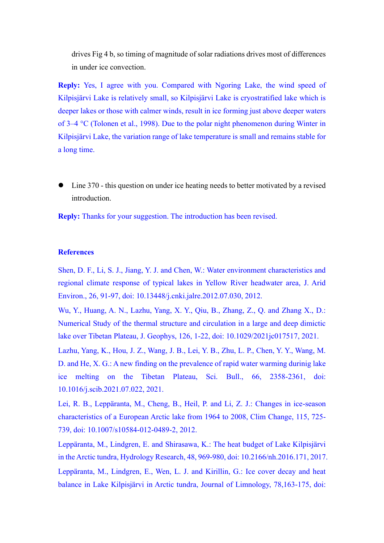drives Fig 4 b, so timing of magnitude of solar radiations drives most of differences in under ice convection.

**Reply:** Yes, I agree with you. Compared with Ngoring Lake, the wind speed of Kilpisjärvi Lake is relatively small, so Kilpisjärvi Lake is cryostratified lake which is deeper lakes or those with calmer winds, result in ice forming just above deeper waters of 3–4 °C (Tolonen et al., 1998). Due to the polar night phenomenon during Winter in Kilpisjärvi Lake, the variation range of lake temperature is small and remains stable for a long time.

⚫ Line 370 - this question on under ice heating needs to better motivated by a revised introduction.

**Reply:** Thanks for your suggestion. The introduction has been revised.

#### **References**

Shen, D. F., Li, S. J., Jiang, Y. J. and Chen, W.: Water environment characteristics and regional climate response of typical lakes in Yellow River headwater area, J. Arid Environ., 26, 91-97, doi: 10.13448/j.cnki.jalre.2012.07.030, 2012.

Wu, Y., Huang, A. N., Lazhu, Yang, X. Y., Qiu, B., Zhang, Z., Q. and Zhang X., D.: Numerical Study of the thermal structure and circulation in a large and deep dimictic lake over Tibetan Plateau, J. Geophys, 126, 1-22, doi: 10.1029/2021jc017517, 2021.

Lazhu, Yang, K., Hou, J. Z., Wang, J. B., Lei, Y. B., Zhu, L. P., Chen, Y. Y., Wang, M. D. and He, X. G.: A new finding on the prevalence of rapid water warming durinig lake ice melting on the Tibetan Plateau, Sci. Bull., 66, 2358-2361, doi: 10.1016/j.scib.2021.07.022, 2021.

Lei, R. B., Leppäranta, M., Cheng, B., Heil, P. and Li, Z. J.: Changes in ice-season characteristics of a European Arctic lake from 1964 to 2008, Clim Change, 115, 725- 739, doi: 10.1007/s10584-012-0489-2, 2012.

Leppäranta, M., Lindgren, E. and Shirasawa, K.: The heat budget of Lake Kilpisjärvi in the Arctic tundra, Hydrology Research, 48, 969-980, doi: 10.2166/nh.2016.171, 2017. Leppäranta, M., Lindgren, E., Wen, L. J. and Kirillin, G.: Ice cover decay and heat balance in Lake Kilpisjärvi in Arctic tundra, Journal of Limnology, 78,163-175, doi: